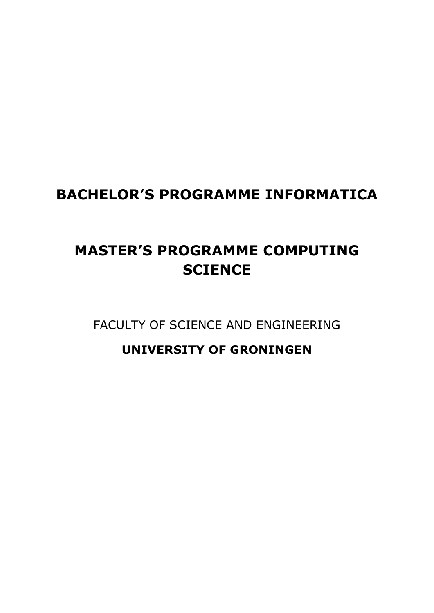# **BACHELOR'S PROGRAMME INFORMATICA**

# **MASTER'S PROGRAMME COMPUTING SCIENCE**

FACULTY OF SCIENCE AND ENGINEERING

**UNIVERSITY OF GRONINGEN**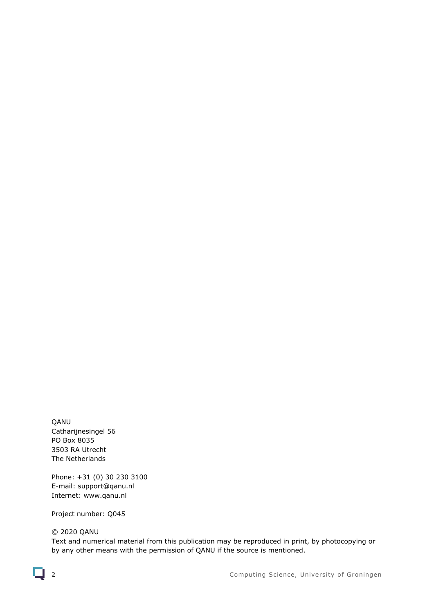QANU Catharijnesingel 56 PO Box 8035 3503 RA Utrecht The Netherlands

Phone: +31 (0) 30 230 3100 E-mail: support@qanu.nl Internet: www.qanu.nl

Project number: Q045

#### © 2020 QANU

Text and numerical material from this publication may be reproduced in print, by photocopying or by any other means with the permission of QANU if the source is mentioned.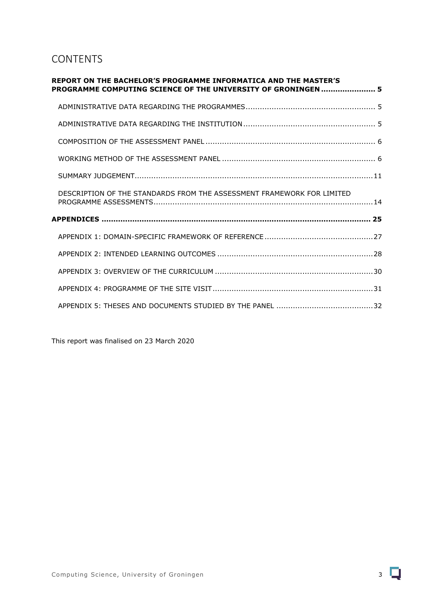### CONTENTS

| REPORT ON THE BACHELOR'S PROGRAMME INFORMATICA AND THE MASTER'S<br>PROGRAMME COMPUTING SCIENCE OF THE UNIVERSITY OF GRONINGEN  5 |  |
|----------------------------------------------------------------------------------------------------------------------------------|--|
|                                                                                                                                  |  |
|                                                                                                                                  |  |
|                                                                                                                                  |  |
|                                                                                                                                  |  |
|                                                                                                                                  |  |
| DESCRIPTION OF THE STANDARDS FROM THE ASSESSMENT FRAMEWORK FOR LIMITED                                                           |  |
|                                                                                                                                  |  |
|                                                                                                                                  |  |
|                                                                                                                                  |  |
|                                                                                                                                  |  |
|                                                                                                                                  |  |
|                                                                                                                                  |  |

This report was finalised on 23 March 2020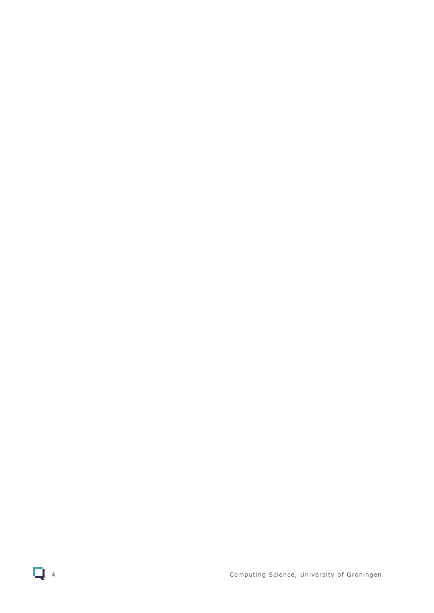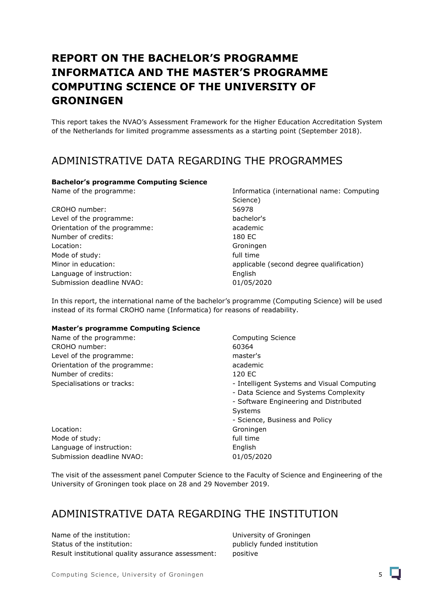# <span id="page-4-0"></span>**REPORT ON THE BACHELOR'S PROGRAMME INFORMATICA AND THE MASTER'S PROGRAMME COMPUTING SCIENCE OF THE UNIVERSITY OF GRONINGEN**

This report takes the NVAO's Assessment Framework for the Higher Education Accreditation System of the Netherlands for limited programme assessments as a starting point (September 2018).

# <span id="page-4-1"></span>ADMINISTRATIVE DATA REGARDING THE PROGRAMMES

#### **Bachelor's programme Computing Science**

CROHO number: 56978 Level of the programme: bachelor's Orientation of the programme: academic Number of credits: 180 EC Location: Groningen Mode of study:  $\blacksquare$ Language of instruction: English Submission deadline NVAO: 01/05/2020

Name of the programme: Informatica (international name: Computing Science) Minor in education: applicable (second degree qualification)

In this report, the international name of the bachelor's programme (Computing Science) will be used instead of its formal CROHO name (Informatica) for reasons of readability.

#### **Master's programme Computing Science**

| Name of the programme:        | <b>Computing Science</b>                   |
|-------------------------------|--------------------------------------------|
| CROHO number:                 | 60364                                      |
| Level of the programme:       | master's                                   |
| Orientation of the programme: | academic                                   |
| Number of credits:            | 120 EC                                     |
| Specialisations or tracks:    | - Intelligent Systems and Visual Computing |
|                               | - Data Science and Systems Complexity      |
|                               | - Software Engineering and Distributed     |
|                               | Systems                                    |
|                               | - Science, Business and Policy             |
| Location:                     | Groningen                                  |
| Mode of study:                | full time                                  |
| Language of instruction:      | English                                    |
| Submission deadline NVAO:     | 01/05/2020                                 |
|                               |                                            |

The visit of the assessment panel Computer Science to the Faculty of Science and Engineering of the University of Groningen took place on 28 and 29 November 2019.

### <span id="page-4-2"></span>ADMINISTRATIVE DATA REGARDING THE INSTITUTION

Name of the institution: University of Groningen Status of the institution: example in the institution of the institution of the institution of the institution Result institutional quality assurance assessment: positive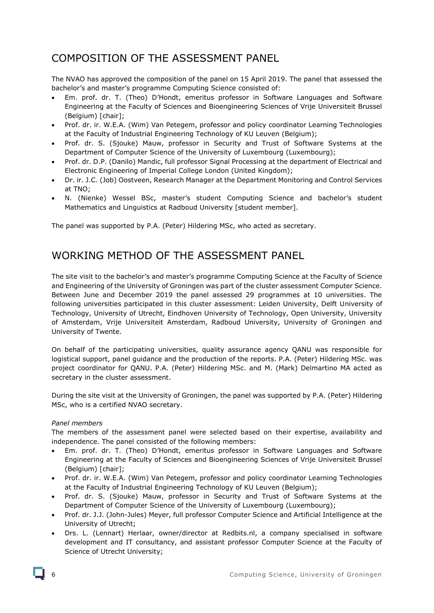# <span id="page-5-0"></span>COMPOSITION OF THE ASSESSMENT PANEL

The NVAO has approved the composition of the panel on 15 April 2019. The panel that assessed the bachelor's and master's programme Computing Science consisted of:

- Em. prof. dr. T. (Theo) D'Hondt, emeritus professor in Software Languages and Software Engineering at the Faculty of Sciences and Bioengineering Sciences of Vrije Universiteit Brussel (Belgium) [chair];
- Prof. dr. ir. W.E.A. (Wim) Van Petegem, professor and policy coordinator Learning Technologies at the Faculty of Industrial Engineering Technology of KU Leuven (Belgium);
- Prof. dr. S. (Sjouke) Mauw, professor in Security and Trust of Software Systems at the Department of Computer Science of the University of Luxembourg (Luxembourg);
- Prof. dr. D.P. (Danilo) Mandic, full professor Signal Processing at the department of Electrical and Electronic Engineering of Imperial College London (United Kingdom);
- Dr. ir. J.C. (Job) Oostveen, Research Manager at the Department Monitoring and Control Services at TNO;
- N. (Nienke) Wessel BSc, master's student Computing Science and bachelor's student Mathematics and Linguistics at Radboud University [student member].

The panel was supported by P.A. (Peter) Hildering MSc, who acted as secretary.

# <span id="page-5-1"></span>WORKING METHOD OF THE ASSESSMENT PANEL

The site visit to the bachelor's and master's programme Computing Science at the Faculty of Science and Engineering of the University of Groningen was part of the cluster assessment Computer Science. Between June and December 2019 the panel assessed 29 programmes at 10 universities. The following universities participated in this cluster assessment: Leiden University, Delft University of Technology, University of Utrecht, Eindhoven University of Technology, Open University, University of Amsterdam, Vrije Universiteit Amsterdam, Radboud University, University of Groningen and University of Twente.

On behalf of the participating universities, quality assurance agency QANU was responsible for logistical support, panel guidance and the production of the reports. P.A. (Peter) Hildering MSc. was project coordinator for QANU. P.A. (Peter) Hildering MSc. and M. (Mark) Delmartino MA acted as secretary in the cluster assessment.

During the site visit at the University of Groningen, the panel was supported by P.A. (Peter) Hildering MSc, who is a certified NVAO secretary.

### *Panel members*

The members of the assessment panel were selected based on their expertise, availability and independence. The panel consisted of the following members:

- Em. prof. dr. T. (Theo) D'Hondt, emeritus professor in Software Languages and Software Engineering at the Faculty of Sciences and Bioengineering Sciences of Vrije Universiteit Brussel (Belgium) [chair];
- Prof. dr. ir. W.E.A. (Wim) Van Petegem, professor and policy coordinator Learning Technologies at the Faculty of Industrial Engineering Technology of KU Leuven (Belgium);
- Prof. dr. S. (Sjouke) Mauw, professor in Security and Trust of Software Systems at the Department of Computer Science of the University of Luxembourg (Luxembourg);
- Prof. dr. J.J. (John-Jules) Meyer, full professor Computer Science and Artificial Intelligence at the University of Utrecht;
- Drs. L. (Lennart) Herlaar, owner/director at Redbits.nl, a company specialised in software development and IT consultancy, and assistant professor Computer Science at the Faculty of Science of Utrecht University;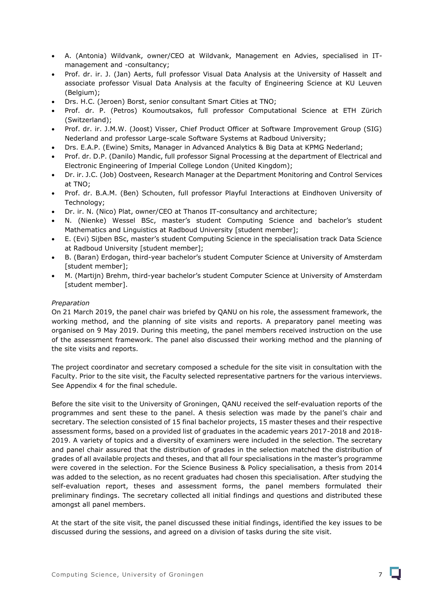- A. (Antonia) Wildvank, owner/CEO at Wildvank, Management en Advies, specialised in ITmanagement and -consultancy;
- Prof. dr. ir. J. (Jan) Aerts, full professor Visual Data Analysis at the University of Hasselt and associate professor Visual Data Analysis at the faculty of Engineering Science at KU Leuven (Belgium);
- Drs. H.C. (Jeroen) Borst, senior consultant Smart Cities at TNO;
- Prof. dr. P. (Petros) Koumoutsakos, full professor Computational Science at ETH Zürich (Switzerland);
- Prof. dr. ir. J.M.W. (Joost) Visser, Chief Product Officer at Software Improvement Group (SIG) Nederland and professor Large-scale Software Systems at Radboud University;
- Drs. E.A.P. (Ewine) Smits, Manager in Advanced Analytics & Big Data at KPMG Nederland;
- Prof. dr. D.P. (Danilo) Mandic, full professor Signal Processing at the department of Electrical and Electronic Engineering of Imperial College London (United Kingdom);
- Dr. ir. J.C. (Job) Oostveen, Research Manager at the Department Monitoring and Control Services at TNO;
- Prof. dr. B.A.M. (Ben) Schouten, full professor Playful Interactions at Eindhoven University of Technology;
- Dr. ir. N. (Nico) Plat, owner/CEO at Thanos IT-consultancy and architecture;
- N. (Nienke) Wessel BSc, master's student Computing Science and bachelor's student Mathematics and Linguistics at Radboud University [student member];
- E. (Evi) Sijben BSc, master's student Computing Science in the specialisation track Data Science at Radboud University [student member];
- B. (Baran) Erdogan, third-year bachelor's student Computer Science at University of Amsterdam [student member];
- M. (Martijn) Brehm, third-year bachelor's student Computer Science at University of Amsterdam [student member].

#### *Preparation*

On 21 March 2019, the panel chair was briefed by QANU on his role, the assessment framework, the working method, and the planning of site visits and reports. A preparatory panel meeting was organised on 9 May 2019. During this meeting, the panel members received instruction on the use of the assessment framework. The panel also discussed their working method and the planning of the site visits and reports.

The project coordinator and secretary composed a schedule for the site visit in consultation with the Faculty. Prior to the site visit, the Faculty selected representative partners for the various interviews. See Appendix 4 for the final schedule.

Before the site visit to the University of Groningen, QANU received the self-evaluation reports of the programmes and sent these to the panel. A thesis selection was made by the panel's chair and secretary. The selection consisted of 15 final bachelor projects, 15 master theses and their respective assessment forms, based on a provided list of graduates in the academic years 2017-2018 and 2018- 2019. A variety of topics and a diversity of examiners were included in the selection. The secretary and panel chair assured that the distribution of grades in the selection matched the distribution of grades of all available projects and theses, and that all four specialisations in the master's programme were covered in the selection. For the Science Business & Policy specialisation, a thesis from 2014 was added to the selection, as no recent graduates had chosen this specialisation. After studying the self-evaluation report, theses and assessment forms, the panel members formulated their preliminary findings. The secretary collected all initial findings and questions and distributed these amongst all panel members.

At the start of the site visit, the panel discussed these initial findings, identified the key issues to be discussed during the sessions, and agreed on a division of tasks during the site visit.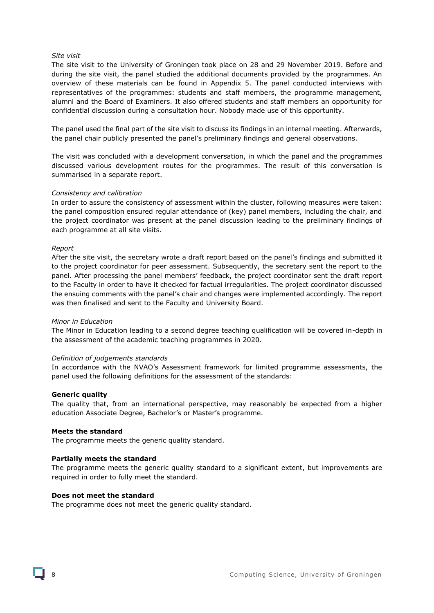#### *Site visit*

The site visit to the University of Groningen took place on 28 and 29 November 2019. Before and during the site visit, the panel studied the additional documents provided by the programmes. An overview of these materials can be found in Appendix 5. The panel conducted interviews with representatives of the programmes: students and staff members, the programme management, alumni and the Board of Examiners. It also offered students and staff members an opportunity for confidential discussion during a consultation hour. Nobody made use of this opportunity.

The panel used the final part of the site visit to discuss its findings in an internal meeting. Afterwards, the panel chair publicly presented the panel's preliminary findings and general observations.

The visit was concluded with a development conversation, in which the panel and the programmes discussed various development routes for the programmes. The result of this conversation is summarised in a separate report.

#### *Consistency and calibration*

In order to assure the consistency of assessment within the cluster, following measures were taken: the panel composition ensured regular attendance of (key) panel members, including the chair, and the project coordinator was present at the panel discussion leading to the preliminary findings of each programme at all site visits.

#### *Report*

After the site visit, the secretary wrote a draft report based on the panel's findings and submitted it to the project coordinator for peer assessment. Subsequently, the secretary sent the report to the panel. After processing the panel members' feedback, the project coordinator sent the draft report to the Faculty in order to have it checked for factual irregularities. The project coordinator discussed the ensuing comments with the panel's chair and changes were implemented accordingly. The report was then finalised and sent to the Faculty and University Board.

#### *Minor in Education*

The Minor in Education leading to a second degree teaching qualification will be covered in-depth in the assessment of the academic teaching programmes in 2020.

#### *Definition of judgements standards*

In accordance with the NVAO's Assessment framework for limited programme assessments, the panel used the following definitions for the assessment of the standards:

#### **Generic quality**

The quality that, from an international perspective, may reasonably be expected from a higher education Associate Degree, Bachelor's or Master's programme.

#### **Meets the standard**

The programme meets the generic quality standard.

#### **Partially meets the standard**

The programme meets the generic quality standard to a significant extent, but improvements are required in order to fully meet the standard.

#### **Does not meet the standard**

The programme does not meet the generic quality standard.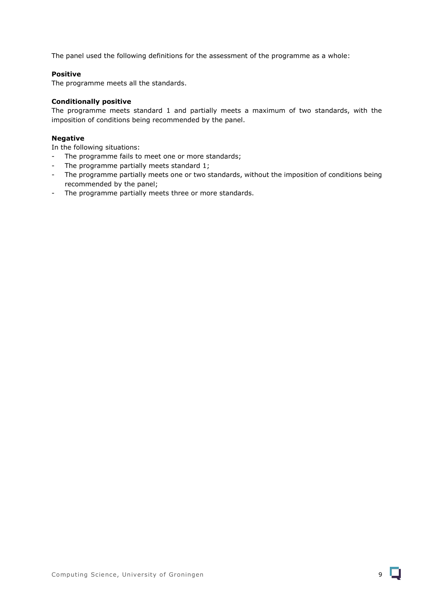The panel used the following definitions for the assessment of the programme as a whole:

### **Positive**

The programme meets all the standards.

#### **Conditionally positive**

The programme meets standard 1 and partially meets a maximum of two standards, with the imposition of conditions being recommended by the panel.

#### **Negative**

In the following situations:

- The programme fails to meet one or more standards;
- The programme partially meets standard 1;
- The programme partially meets one or two standards, without the imposition of conditions being recommended by the panel;
- The programme partially meets three or more standards.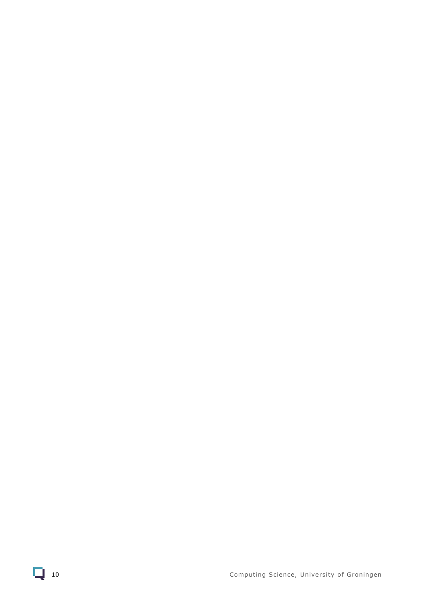10 Computing Science, University of Groningen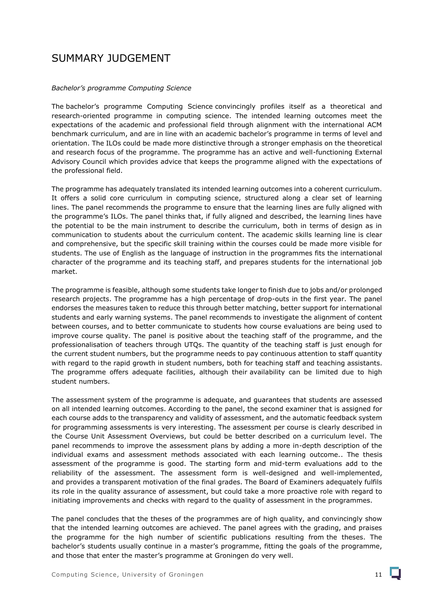# <span id="page-10-0"></span>SUMMARY JUDGEMENT

#### *Bachelor's programme Computing Science*

The bachelor's programme Computing Science convincingly profiles itself as a theoretical and research-oriented programme in computing science. The intended learning outcomes meet the expectations of the academic and professional field through alignment with the international ACM benchmark curriculum, and are in line with an academic bachelor's programme in terms of level and orientation. The ILOs could be made more distinctive through a stronger emphasis on the theoretical and research focus of the programme. The programme has an active and well-functioning External Advisory Council which provides advice that keeps the programme aligned with the expectations of the professional field.

The programme has adequately translated its intended learning outcomes into a coherent curriculum. It offers a solid core curriculum in computing science, structured along a clear set of learning lines. The panel recommends the programme to ensure that the learning lines are fully aligned with the programme's ILOs. The panel thinks that, if fully aligned and described, the learning lines have the potential to be the main instrument to describe the curriculum, both in terms of design as in communication to students about the curriculum content. The academic skills learning line is clear and comprehensive, but the specific skill training within the courses could be made more visible for students. The use of English as the language of instruction in the programmes fits the international character of the programme and its teaching staff, and prepares students for the international job market.

The programme is feasible, although some students take longer to finish due to jobs and/or prolonged research projects. The programme has a high percentage of drop-outs in the first year. The panel endorses the measures taken to reduce this through better matching, better support for international students and early warning systems. The panel recommends to investigate the alignment of content between courses, and to better communicate to students how course evaluations are being used to improve course quality. The panel is positive about the teaching staff of the programme, and the professionalisation of teachers through UTQs. The quantity of the teaching staff is just enough for the current student numbers, but the programme needs to pay continuous attention to staff quantity with regard to the rapid growth in student numbers, both for teaching staff and teaching assistants. The programme offers adequate facilities, although their availability can be limited due to high student numbers.

The assessment system of the programme is adequate, and guarantees that students are assessed on all intended learning outcomes. According to the panel, the second examiner that is assigned for each course adds to the transparency and validity of assessment, and the automatic feedback system for programming assessments is very interesting. The assessment per course is clearly described in the Course Unit Assessment Overviews, but could be better described on a curriculum level. The panel recommends to improve the assessment plans by adding a more in-depth description of the individual exams and assessment methods associated with each learning outcome.. The thesis assessment of the programme is good. The starting form and mid-term evaluations add to the reliability of the assessment. The assessment form is well-designed and well-implemented, and provides a transparent motivation of the final grades. The Board of Examiners adequately fulfils its role in the quality assurance of assessment, but could take a more proactive role with regard to initiating improvements and checks with regard to the quality of assessment in the programmes.

The panel concludes that the theses of the programmes are of high quality, and convincingly show that the intended learning outcomes are achieved. The panel agrees with the grading, and praises the programme for the high number of scientific publications resulting from the theses. The bachelor's students usually continue in a master's programme, fitting the goals of the programme, and those that enter the master's programme at Groningen do very well.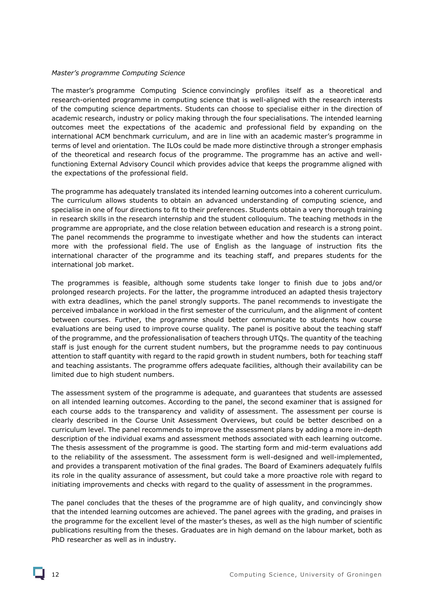#### *Master's programme Computing Science*

The master's programme Computing Science convincingly profiles itself as a theoretical and research-oriented programme in computing science that is well-aligned with the research interests of the computing science departments. Students can choose to specialise either in the direction of academic research, industry or policy making through the four specialisations. The intended learning outcomes meet the expectations of the academic and professional field by expanding on the international ACM benchmark curriculum, and are in line with an academic master's programme in terms of level and orientation. The ILOs could be made more distinctive through a stronger emphasis of the theoretical and research focus of the programme. The programme has an active and wellfunctioning External Advisory Council which provides advice that keeps the programme aligned with the expectations of the professional field.

The programme has adequately translated its intended learning outcomes into a coherent curriculum. The curriculum allows students to obtain an advanced understanding of computing science, and specialise in one of four directions to fit to their preferences. Students obtain a very thorough training in research skills in the research internship and the student colloquium. The teaching methods in the programme are appropriate, and the close relation between education and research is a strong point. The panel recommends the programme to investigate whether and how the students can interact more with the professional field. The use of English as the language of instruction fits the international character of the programme and its teaching staff, and prepares students for the international job market.

The programmes is feasible, although some students take longer to finish due to jobs and/or prolonged research projects. For the latter, the programme introduced an adapted thesis trajectory with extra deadlines, which the panel strongly supports. The panel recommends to investigate the perceived imbalance in workload in the first semester of the curriculum, and the alignment of content between courses. Further, the programme should better communicate to students how course evaluations are being used to improve course quality. The panel is positive about the teaching staff of the programme, and the professionalisation of teachers through UTQs. The quantity of the teaching staff is just enough for the current student numbers, but the programme needs to pay continuous attention to staff quantity with regard to the rapid growth in student numbers, both for teaching staff and teaching assistants. The programme offers adequate facilities, although their availability can be limited due to high student numbers.

The assessment system of the programme is adequate, and guarantees that students are assessed on all intended learning outcomes. According to the panel, the second examiner that is assigned for each course adds to the transparency and validity of assessment. The assessment per course is clearly described in the Course Unit Assessment Overviews, but could be better described on a curriculum level. The panel recommends to improve the assessment plans by adding a more in-depth description of the individual exams and assessment methods associated with each learning outcome. The thesis assessment of the programme is good. The starting form and mid-term evaluations add to the reliability of the assessment. The assessment form is well-designed and well-implemented, and provides a transparent motivation of the final grades. The Board of Examiners adequately fulfils its role in the quality assurance of assessment, but could take a more proactive role with regard to initiating improvements and checks with regard to the quality of assessment in the programmes.

The panel concludes that the theses of the programme are of high quality, and convincingly show that the intended learning outcomes are achieved. The panel agrees with the grading, and praises in the programme for the excellent level of the master's theses, as well as the high number of scientific publications resulting from the theses. Graduates are in high demand on the labour market, both as PhD researcher as well as in industry.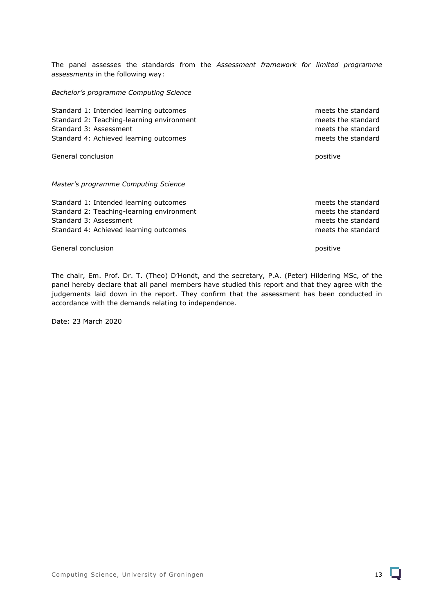The panel assesses the standards from the *Assessment framework for limited programme assessments* in the following way:

*Bachelor's programme Computing Science*

| Standard 1: Intended learning outcomes    | meets the standard |
|-------------------------------------------|--------------------|
| Standard 2: Teaching-learning environment | meets the standard |
| Standard 3: Assessment                    | meets the standard |
| Standard 4: Achieved learning outcomes    | meets the standard |
| General conclusion                        | positive           |
| Master's programme Computing Science      |                    |
| Standard 1: Intended learning outcomes    | meets the standard |
| Standard 2: Teaching-learning environment | meets the standard |
| Standard 3: Assessment                    | meets the standard |
| Standard 4: Achieved learning outcomes    | meets the standard |
| General conclusion                        | positive           |

The chair, Em. Prof. Dr. T. (Theo) D'Hondt, and the secretary, P.A. (Peter) Hildering MSc, of the panel hereby declare that all panel members have studied this report and that they agree with the judgements laid down in the report. They confirm that the assessment has been conducted in accordance with the demands relating to independence.

Date: 23 March 2020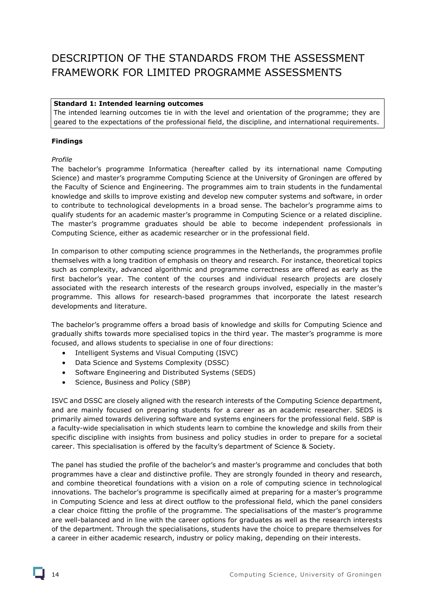# <span id="page-13-0"></span>DESCRIPTION OF THE STANDARDS FROM THE ASSESSMENT FRAMEWORK FOR LIMITED PROGRAMME ASSESSMENTS

#### **Standard 1: Intended learning outcomes**

The intended learning outcomes tie in with the level and orientation of the programme; they are geared to the expectations of the professional field, the discipline, and international requirements.

#### **Findings**

#### *Profile*

The bachelor's programme Informatica (hereafter called by its international name Computing Science) and master's programme Computing Science at the University of Groningen are offered by the Faculty of Science and Engineering. The programmes aim to train students in the fundamental knowledge and skills to improve existing and develop new computer systems and software, in order to contribute to technological developments in a broad sense. The bachelor's programme aims to qualify students for an academic master's programme in Computing Science or a related discipline. The master's programme graduates should be able to become independent professionals in Computing Science, either as academic researcher or in the professional field.

In comparison to other computing science programmes in the Netherlands, the programmes profile themselves with a long tradition of emphasis on theory and research. For instance, theoretical topics such as complexity, advanced algorithmic and programme correctness are offered as early as the first bachelor's year. The content of the courses and individual research projects are closely associated with the research interests of the research groups involved, especially in the master's programme. This allows for research-based programmes that incorporate the latest research developments and literature.

The bachelor's programme offers a broad basis of knowledge and skills for Computing Science and gradually shifts towards more specialised topics in the third year. The master's programme is more focused, and allows students to specialise in one of four directions:

- Intelligent Systems and Visual Computing (ISVC)
- Data Science and Systems Complexity (DSSC)
- Software Engineering and Distributed Systems (SEDS)
- Science, Business and Policy (SBP)

ISVC and DSSC are closely aligned with the research interests of the Computing Science department, and are mainly focused on preparing students for a career as an academic researcher. SEDS is primarily aimed towards delivering software and systems engineers for the professional field. SBP is a faculty-wide specialisation in which students learn to combine the knowledge and skills from their specific discipline with insights from business and policy studies in order to prepare for a societal career. This specialisation is offered by the faculty's department of Science & Society.

The panel has studied the profile of the bachelor's and master's programme and concludes that both programmes have a clear and distinctive profile. They are strongly founded in theory and research, and combine theoretical foundations with a vision on a role of computing science in technological innovations. The bachelor's programme is specifically aimed at preparing for a master's programme in Computing Science and less at direct outflow to the professional field, which the panel considers a clear choice fitting the profile of the programme. The specialisations of the master's programme are well-balanced and in line with the career options for graduates as well as the research interests of the department. Through the specialisations, students have the choice to prepare themselves for a career in either academic research, industry or policy making, depending on their interests.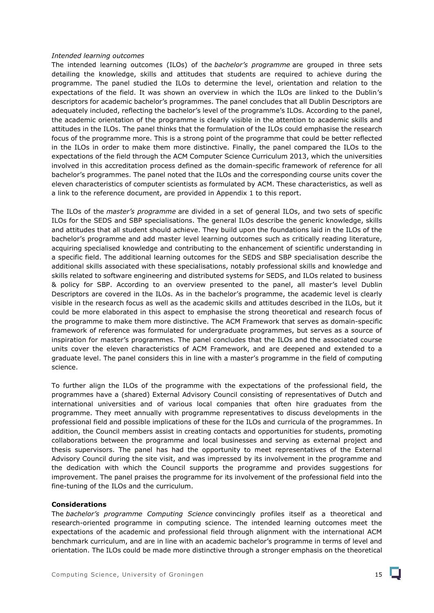#### *Intended learning outcomes*

The intended learning outcomes (ILOs) of the *bachelor's programme* are grouped in three sets detailing the knowledge, skills and attitudes that students are required to achieve during the programme. The panel studied the ILOs to determine the level, orientation and relation to the expectations of the field. It was shown an overview in which the ILOs are linked to the Dublin's descriptors for academic bachelor's programmes. The panel concludes that all Dublin Descriptors are adequately included, reflecting the bachelor's level of the programme's ILOs. According to the panel, the academic orientation of the programme is clearly visible in the attention to academic skills and attitudes in the ILOs. The panel thinks that the formulation of the ILOs could emphasise the research focus of the programme more. This is a strong point of the programme that could be better reflected in the ILOs in order to make them more distinctive. Finally, the panel compared the ILOs to the expectations of the field through the ACM Computer Science Curriculum 2013, which the universities involved in this accreditation process defined as the domain-specific framework of reference for all bachelor's programmes. The panel noted that the ILOs and the corresponding course units cover the eleven characteristics of computer scientists as formulated by ACM. These characteristics, as well as a link to the reference document, are provided in Appendix 1 to this report.

The ILOs of the *master's programme* are divided in a set of general ILOs, and two sets of specific ILOs for the SEDS and SBP specialisations. The general ILOs describe the generic knowledge, skills and attitudes that all student should achieve. They build upon the foundations laid in the ILOs of the bachelor's programme and add master level learning outcomes such as critically reading literature, acquiring specialised knowledge and contributing to the enhancement of scientific understanding in a specific field. The additional learning outcomes for the SEDS and SBP specialisation describe the additional skills associated with these specialisations, notably professional skills and knowledge and skills related to software engineering and distributed systems for SEDS, and ILOs related to business & policy for SBP. According to an overview presented to the panel, all master's level Dublin Descriptors are covered in the ILOs. As in the bachelor's programme, the academic level is clearly visible in the research focus as well as the academic skills and attitudes described in the ILOs, but it could be more elaborated in this aspect to emphasise the strong theoretical and research focus of the programme to make them more distinctive. The ACM Framework that serves as domain-specific framework of reference was formulated for undergraduate programmes, but serves as a source of inspiration for master's programmes. The panel concludes that the ILOs and the associated course units cover the eleven characteristics of ACM Framework, and are deepened and extended to a graduate level. The panel considers this in line with a master's programme in the field of computing science.

To further align the ILOs of the programme with the expectations of the professional field, the programmes have a (shared) External Advisory Council consisting of representatives of Dutch and international universities and of various local companies that often hire graduates from the programme. They meet annually with programme representatives to discuss developments in the professional field and possible implications of these for the ILOs and curricula of the programmes. In addition, the Council members assist in creating contacts and opportunities for students, promoting collaborations between the programme and local businesses and serving as external project and thesis supervisors. The panel has had the opportunity to meet representatives of the External Advisory Council during the site visit, and was impressed by its involvement in the programme and the dedication with which the Council supports the programme and provides suggestions for improvement. The panel praises the programme for its involvement of the professional field into the fine-tuning of the ILOs and the curriculum.

### **Considerations**

The *bachelor's programme Computing Science* convincingly profiles itself as a theoretical and research-oriented programme in computing science. The intended learning outcomes meet the expectations of the academic and professional field through alignment with the international ACM benchmark curriculum, and are in line with an academic bachelor's programme in terms of level and orientation. The ILOs could be made more distinctive through a stronger emphasis on the theoretical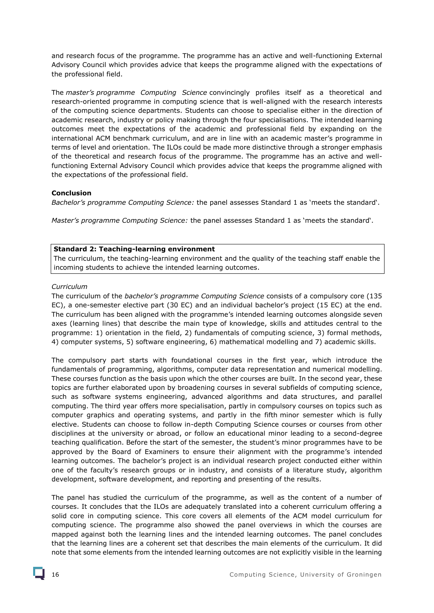and research focus of the programme. The programme has an active and well-functioning External Advisory Council which provides advice that keeps the programme aligned with the expectations of the professional field.

The *master's programme Computing Science* convincingly profiles itself as a theoretical and research-oriented programme in computing science that is well-aligned with the research interests of the computing science departments. Students can choose to specialise either in the direction of academic research, industry or policy making through the four specialisations. The intended learning outcomes meet the expectations of the academic and professional field by expanding on the international ACM benchmark curriculum, and are in line with an academic master's programme in terms of level and orientation. The ILOs could be made more distinctive through a stronger emphasis of the theoretical and research focus of the programme. The programme has an active and wellfunctioning External Advisory Council which provides advice that keeps the programme aligned with the expectations of the professional field.

#### **Conclusion**

*Bachelor's programme Computing Science:* the panel assesses Standard 1 as 'meets the standard'.

*Master's programme Computing Science:* the panel assesses Standard 1 as 'meets the standard'.

#### **Standard 2: Teaching-learning environment**

The curriculum, the teaching-learning environment and the quality of the teaching staff enable the incoming students to achieve the intended learning outcomes.

#### *Curriculum*

The curriculum of the *bachelor's programme Computing Science* consists of a compulsory core (135 EC), a one-semester elective part (30 EC) and an individual bachelor's project (15 EC) at the end. The curriculum has been aligned with the programme's intended learning outcomes alongside seven axes (learning lines) that describe the main type of knowledge, skills and attitudes central to the programme: 1) orientation in the field, 2) fundamentals of computing science, 3) formal methods, 4) computer systems, 5) software engineering, 6) mathematical modelling and 7) academic skills.

The compulsory part starts with foundational courses in the first year, which introduce the fundamentals of programming, algorithms, computer data representation and numerical modelling. These courses function as the basis upon which the other courses are built. In the second year, these topics are further elaborated upon by broadening courses in several subfields of computing science, such as software systems engineering, advanced algorithms and data structures, and parallel computing. The third year offers more specialisation, partly in compulsory courses on topics such as computer graphics and operating systems, and partly in the fifth minor semester which is fully elective. Students can choose to follow in-depth Computing Science courses or courses from other disciplines at the university or abroad, or follow an educational minor leading to a second-degree teaching qualification. Before the start of the semester, the student's minor programmes have to be approved by the Board of Examiners to ensure their alignment with the programme's intended learning outcomes. The bachelor's project is an individual research project conducted either within one of the faculty's research groups or in industry, and consists of a literature study, algorithm development, software development, and reporting and presenting of the results.

The panel has studied the curriculum of the programme, as well as the content of a number of courses. It concludes that the ILOs are adequately translated into a coherent curriculum offering a solid core in computing science. This core covers all elements of the ACM model curriculum for computing science. The programme also showed the panel overviews in which the courses are mapped against both the learning lines and the intended learning outcomes. The panel concludes that the learning lines are a coherent set that describes the main elements of the curriculum. It did note that some elements from the intended learning outcomes are not explicitly visible in the learning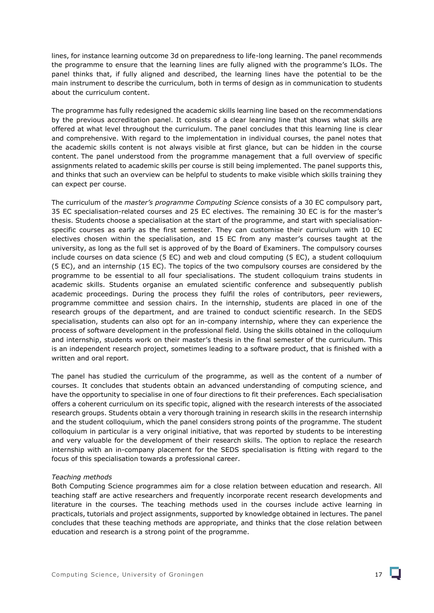lines, for instance learning outcome 3d on preparedness to life-long learning. The panel recommends the programme to ensure that the learning lines are fully aligned with the programme's ILOs. The panel thinks that, if fully aligned and described, the learning lines have the potential to be the main instrument to describe the curriculum, both in terms of design as in communication to students about the curriculum content.

The programme has fully redesigned the academic skills learning line based on the recommendations by the previous accreditation panel. It consists of a clear learning line that shows what skills are offered at what level throughout the curriculum. The panel concludes that this learning line is clear and comprehensive. With regard to the implementation in individual courses, the panel notes that the academic skills content is not always visible at first glance, but can be hidden in the course content. The panel understood from the programme management that a full overview of specific assignments related to academic skills per course is still being implemented. The panel supports this, and thinks that such an overview can be helpful to students to make visible which skills training they can expect per course.

The curriculum of the *master's programme Computing Scienc*e consists of a 30 EC compulsory part, 35 EC specialisation-related courses and 25 EC electives. The remaining 30 EC is for the master's thesis. Students choose a specialisation at the start of the programme, and start with specialisationspecific courses as early as the first semester. They can customise their curriculum with 10 EC electives chosen within the specialisation, and 15 EC from any master's courses taught at the university, as long as the full set is approved of by the Board of Examiners. The compulsory courses include courses on data science (5 EC) and web and cloud computing (5 EC), a student colloquium (5 EC), and an internship (15 EC). The topics of the two compulsory courses are considered by the programme to be essential to all four specialisations. The student colloquium trains students in academic skills. Students organise an emulated scientific conference and subsequently publish academic proceedings. During the process they fulfil the roles of contributors, peer reviewers, programme committee and session chairs. In the internship, students are placed in one of the research groups of the department, and are trained to conduct scientific research. In the SEDS specialisation, students can also opt for an in-company internship, where they can experience the process of software development in the professional field. Using the skills obtained in the colloquium and internship, students work on their master's thesis in the final semester of the curriculum. This is an independent research project, sometimes leading to a software product, that is finished with a written and oral report.

The panel has studied the curriculum of the programme, as well as the content of a number of courses. It concludes that students obtain an advanced understanding of computing science, and have the opportunity to specialise in one of four directions to fit their preferences. Each specialisation offers a coherent curriculum on its specific topic, aligned with the research interests of the associated research groups. Students obtain a very thorough training in research skills in the research internship and the student colloquium, which the panel considers strong points of the programme. The student colloquium in particular is a very original initiative, that was reported by students to be interesting and very valuable for the development of their research skills. The option to replace the research internship with an in-company placement for the SEDS specialisation is fitting with regard to the focus of this specialisation towards a professional career.

#### *Teaching methods*

Both Computing Science programmes aim for a close relation between education and research. All teaching staff are active researchers and frequently incorporate recent research developments and literature in the courses. The teaching methods used in the courses include active learning in practicals, tutorials and project assignments, supported by knowledge obtained in lectures. The panel concludes that these teaching methods are appropriate, and thinks that the close relation between education and research is a strong point of the programme.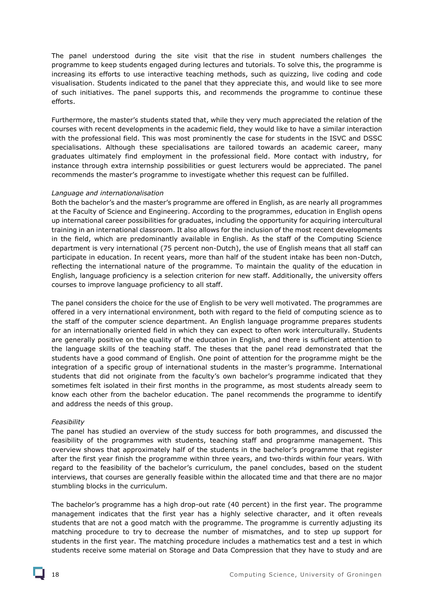The panel understood during the site visit that the rise in student numbers challenges the programme to keep students engaged during lectures and tutorials. To solve this, the programme is increasing its efforts to use interactive teaching methods, such as quizzing, live coding and code visualisation. Students indicated to the panel that they appreciate this, and would like to see more of such initiatives. The panel supports this, and recommends the programme to continue these efforts.

Furthermore, the master's students stated that, while they very much appreciated the relation of the courses with recent developments in the academic field, they would like to have a similar interaction with the professional field. This was most prominently the case for students in the ISVC and DSSC specialisations. Although these specialisations are tailored towards an academic career, many graduates ultimately find employment in the professional field. More contact with industry, for instance through extra internship possibilities or guest lecturers would be appreciated. The panel recommends the master's programme to investigate whether this request can be fulfilled.

#### *Language and internationalisation*

Both the bachelor's and the master's programme are offered in English, as are nearly all programmes at the Faculty of Science and Engineering. According to the programmes, education in English opens up international career possibilities for graduates, including the opportunity for acquiring intercultural training in an international classroom. It also allows for the inclusion of the most recent developments in the field, which are predominantly available in English. As the staff of the Computing Science department is very international (75 percent non-Dutch), the use of English means that all staff can participate in education. In recent years, more than half of the student intake has been non-Dutch, reflecting the international nature of the programme. To maintain the quality of the education in English, language proficiency is a selection criterion for new staff. Additionally, the university offers courses to improve language proficiency to all staff.

The panel considers the choice for the use of English to be very well motivated. The programmes are offered in a very international environment, both with regard to the field of computing science as to the staff of the computer science department. An English language programme prepares students for an internationally oriented field in which they can expect to often work interculturally. Students are generally positive on the quality of the education in English, and there is sufficient attention to the language skills of the teaching staff. The theses that the panel read demonstrated that the students have a good command of English. One point of attention for the programme might be the integration of a specific group of international students in the master's programme. International students that did not originate from the faculty's own bachelor's programme indicated that they sometimes felt isolated in their first months in the programme, as most students already seem to know each other from the bachelor education. The panel recommends the programme to identify and address the needs of this group.

#### *Feasibility*

The panel has studied an overview of the study success for both programmes, and discussed the feasibility of the programmes with students, teaching staff and programme management. This overview shows that approximately half of the students in the bachelor's programme that register after the first year finish the programme within three years, and two-thirds within four years. With regard to the feasibility of the bachelor's curriculum, the panel concludes, based on the student interviews, that courses are generally feasible within the allocated time and that there are no major stumbling blocks in the curriculum.

The bachelor's programme has a high drop-out rate (40 percent) in the first year. The programme management indicates that the first year has a highly selective character, and it often reveals students that are not a good match with the programme. The programme is currently adjusting its matching procedure to try to decrease the number of mismatches, and to step up support for students in the first year. The matching procedure includes a mathematics test and a test in which students receive some material on Storage and Data Compression that they have to study and are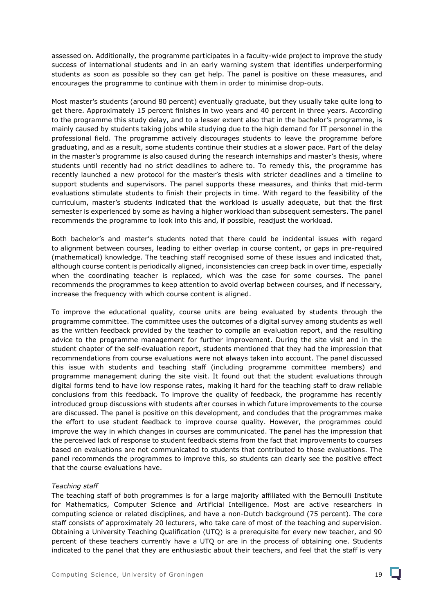assessed on. Additionally, the programme participates in a faculty-wide project to improve the study success of international students and in an early warning system that identifies underperforming students as soon as possible so they can get help. The panel is positive on these measures, and encourages the programme to continue with them in order to minimise drop-outs.

Most master's students (around 80 percent) eventually graduate, but they usually take quite long to get there. Approximately 15 percent finishes in two years and 40 percent in three years. According to the programme this study delay, and to a lesser extent also that in the bachelor's programme, is mainly caused by students taking jobs while studying due to the high demand for IT personnel in the professional field. The programme actively discourages students to leave the programme before graduating, and as a result, some students continue their studies at a slower pace. Part of the delay in the master's programme is also caused during the research internships and master's thesis, where students until recently had no strict deadlines to adhere to. To remedy this, the programme has recently launched a new protocol for the master's thesis with stricter deadlines and a timeline to support students and supervisors. The panel supports these measures, and thinks that mid-term evaluations stimulate students to finish their projects in time. With regard to the feasibility of the curriculum, master's students indicated that the workload is usually adequate, but that the first semester is experienced by some as having a higher workload than subsequent semesters. The panel recommends the programme to look into this and, if possible, readjust the workload.

Both bachelor's and master's students noted that there could be incidental issues with regard to alignment between courses, leading to either overlap in course content, or gaps in pre-required (mathematical) knowledge. The teaching staff recognised some of these issues and indicated that, although course content is periodically aligned, inconsistencies can creep back in over time, especially when the coordinating teacher is replaced, which was the case for some courses. The panel recommends the programmes to keep attention to avoid overlap between courses, and if necessary, increase the frequency with which course content is aligned.

To improve the educational quality, course units are being evaluated by students through the programme committee. The committee uses the outcomes of a digital survey among students as well as the written feedback provided by the teacher to compile an evaluation report, and the resulting advice to the programme management for further improvement. During the site visit and in the student chapter of the self-evaluation report, students mentioned that they had the impression that recommendations from course evaluations were not always taken into account. The panel discussed this issue with students and teaching staff (including programme committee members) and programme management during the site visit. It found out that the student evaluations through digital forms tend to have low response rates, making it hard for the teaching staff to draw reliable conclusions from this feedback. To improve the quality of feedback, the programme has recently introduced group discussions with students after courses in which future improvements to the course are discussed. The panel is positive on this development, and concludes that the programmes make the effort to use student feedback to improve course quality. However, the programmes could improve the way in which changes in courses are communicated. The panel has the impression that the perceived lack of response to student feedback stems from the fact that improvements to courses based on evaluations are not communicated to students that contributed to those evaluations. The panel recommends the programmes to improve this, so students can clearly see the positive effect that the course evaluations have.

#### *Teaching staff*

The teaching staff of both programmes is for a large majority affiliated with the Bernoulli Institute for Mathematics, Computer Science and Artificial Intelligence. Most are active researchers in computing science or related disciplines, and have a non-Dutch background (75 percent). The core staff consists of approximately 20 lecturers, who take care of most of the teaching and supervision. Obtaining a University Teaching Qualification (UTQ) is a prerequisite for every new teacher, and 90 percent of these teachers currently have a UTQ or are in the process of obtaining one. Students indicated to the panel that they are enthusiastic about their teachers, and feel that the staff is very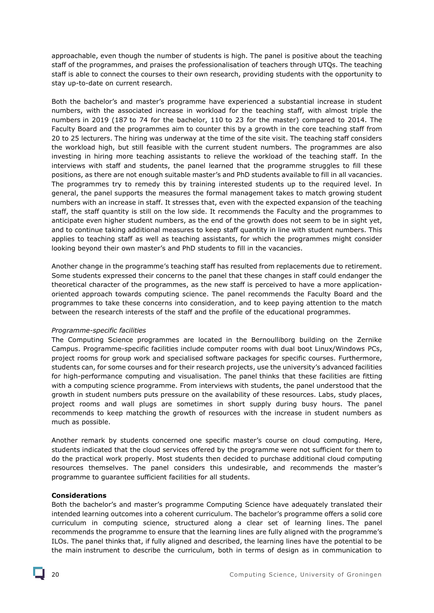approachable, even though the number of students is high. The panel is positive about the teaching staff of the programmes, and praises the professionalisation of teachers through UTQs. The teaching staff is able to connect the courses to their own research, providing students with the opportunity to stay up-to-date on current research.

Both the bachelor's and master's programme have experienced a substantial increase in student numbers, with the associated increase in workload for the teaching staff, with almost triple the numbers in 2019 (187 to 74 for the bachelor, 110 to 23 for the master) compared to 2014. The Faculty Board and the programmes aim to counter this by a growth in the core teaching staff from 20 to 25 lecturers. The hiring was underway at the time of the site visit. The teaching staff considers the workload high, but still feasible with the current student numbers. The programmes are also investing in hiring more teaching assistants to relieve the workload of the teaching staff. In the interviews with staff and students, the panel learned that the programme struggles to fill these positions, as there are not enough suitable master's and PhD students available to fill in all vacancies. The programmes try to remedy this by training interested students up to the required level. In general, the panel supports the measures the formal management takes to match growing student numbers with an increase in staff. It stresses that, even with the expected expansion of the teaching staff, the staff quantity is still on the low side. It recommends the Faculty and the programmes to anticipate even higher student numbers, as the end of the growth does not seem to be in sight yet, and to continue taking additional measures to keep staff quantity in line with student numbers. This applies to teaching staff as well as teaching assistants, for which the programmes might consider looking beyond their own master's and PhD students to fill in the vacancies.

Another change in the programme's teaching staff has resulted from replacements due to retirement. Some students expressed their concerns to the panel that these changes in staff could endanger the theoretical character of the programmes, as the new staff is perceived to have a more applicationoriented approach towards computing science. The panel recommends the Faculty Board and the programmes to take these concerns into consideration, and to keep paying attention to the match between the research interests of the staff and the profile of the educational programmes.

#### *Programme-specific facilities*

The Computing Science programmes are located in the Bernoulliborg building on the Zernike Campus. Programme-specific facilities include computer rooms with dual boot Linux/Windows PCs, project rooms for group work and specialised software packages for specific courses. Furthermore, students can, for some courses and for their research projects, use the university's advanced facilities for high-performance computing and visualisation. The panel thinks that these facilities are fitting with a computing science programme. From interviews with students, the panel understood that the growth in student numbers puts pressure on the availability of these resources. Labs, study places, project rooms and wall plugs are sometimes in short supply during busy hours. The panel recommends to keep matching the growth of resources with the increase in student numbers as much as possible.

Another remark by students concerned one specific master's course on cloud computing. Here, students indicated that the cloud services offered by the programme were not sufficient for them to do the practical work properly. Most students then decided to purchase additional cloud computing resources themselves. The panel considers this undesirable, and recommends the master's programme to guarantee sufficient facilities for all students.

### **Considerations**

Both the bachelor's and master's programme Computing Science have adequately translated their intended learning outcomes into a coherent curriculum. The bachelor's programme offers a solid core curriculum in computing science, structured along a clear set of learning lines. The panel recommends the programme to ensure that the learning lines are fully aligned with the programme's ILOs. The panel thinks that, if fully aligned and described, the learning lines have the potential to be the main instrument to describe the curriculum, both in terms of design as in communication to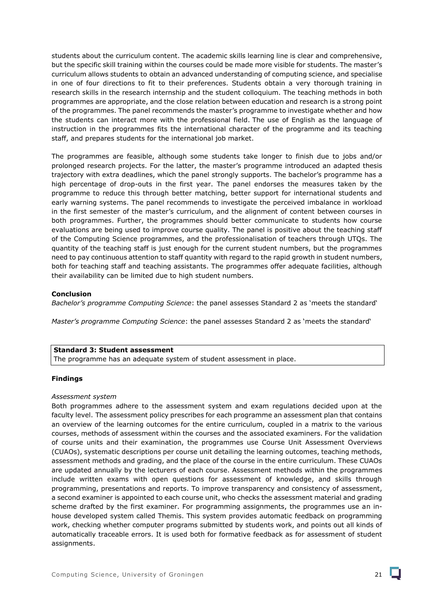students about the curriculum content. The academic skills learning line is clear and comprehensive, but the specific skill training within the courses could be made more visible for students. The master's curriculum allows students to obtain an advanced understanding of computing science, and specialise in one of four directions to fit to their preferences. Students obtain a very thorough training in research skills in the research internship and the student colloquium. The teaching methods in both programmes are appropriate, and the close relation between education and research is a strong point of the programmes. The panel recommends the master's programme to investigate whether and how the students can interact more with the professional field. The use of English as the language of instruction in the programmes fits the international character of the programme and its teaching staff, and prepares students for the international job market.

The programmes are feasible, although some students take longer to finish due to jobs and/or prolonged research projects. For the latter, the master's programme introduced an adapted thesis trajectory with extra deadlines, which the panel strongly supports. The bachelor's programme has a high percentage of drop-outs in the first year. The panel endorses the measures taken by the programme to reduce this through better matching, better support for international students and early warning systems. The panel recommends to investigate the perceived imbalance in workload in the first semester of the master's curriculum, and the alignment of content between courses in both programmes. Further, the programmes should better communicate to students how course evaluations are being used to improve course quality. The panel is positive about the teaching staff of the Computing Science programmes, and the professionalisation of teachers through UTQs. The quantity of the teaching staff is just enough for the current student numbers, but the programmes need to pay continuous attention to staff quantity with regard to the rapid growth in student numbers, both for teaching staff and teaching assistants. The programmes offer adequate facilities, although their availability can be limited due to high student numbers.

#### **Conclusion**

*Bachelor's programme Computing Science*: the panel assesses Standard 2 as 'meets the standard'

*Master's programme Computing Science*: the panel assesses Standard 2 as 'meets the standard'

#### **Standard 3: Student assessment**

The programme has an adequate system of student assessment in place.

#### **Findings**

#### *Assessment system*

Both programmes adhere to the assessment system and exam regulations decided upon at the faculty level. The assessment policy prescribes for each programme an assessment plan that contains an overview of the learning outcomes for the entire curriculum, coupled in a matrix to the various courses, methods of assessment within the courses and the associated examiners. For the validation of course units and their examination, the programmes use Course Unit Assessment Overviews (CUAOs), systematic descriptions per course unit detailing the learning outcomes, teaching methods, assessment methods and grading, and the place of the course in the entire curriculum. These CUAOs are updated annually by the lecturers of each course. Assessment methods within the programmes include written exams with open questions for assessment of knowledge, and skills through programming, presentations and reports. To improve transparency and consistency of assessment, a second examiner is appointed to each course unit, who checks the assessment material and grading scheme drafted by the first examiner. For programming assignments, the programmes use an inhouse developed system called Themis. This system provides automatic feedback on programming work, checking whether computer programs submitted by students work, and points out all kinds of automatically traceable errors. It is used both for formative feedback as for assessment of student assignments.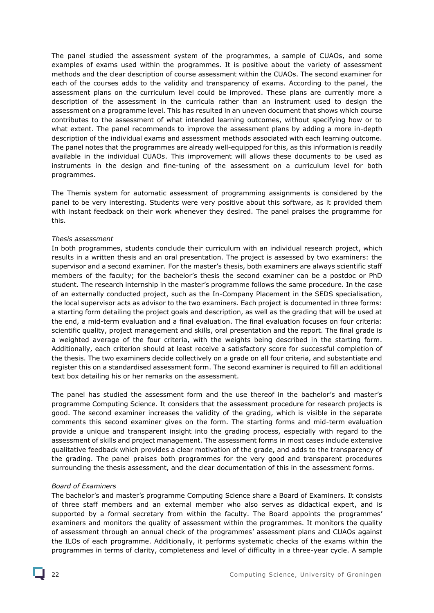The panel studied the assessment system of the programmes, a sample of CUAOs, and some examples of exams used within the programmes. It is positive about the variety of assessment methods and the clear description of course assessment within the CUAOs. The second examiner for each of the courses adds to the validity and transparency of exams. According to the panel, the assessment plans on the curriculum level could be improved. These plans are currently more a description of the assessment in the curricula rather than an instrument used to design the assessment on a programme level. This has resulted in an uneven document that shows which course contributes to the assessment of what intended learning outcomes, without specifying how or to what extent. The panel recommends to improve the assessment plans by adding a more in-depth description of the individual exams and assessment methods associated with each learning outcome. The panel notes that the programmes are already well-equipped for this, as this information is readily available in the individual CUAOs. This improvement will allows these documents to be used as instruments in the design and fine-tuning of the assessment on a curriculum level for both programmes.

The Themis system for automatic assessment of programming assignments is considered by the panel to be very interesting. Students were very positive about this software, as it provided them with instant feedback on their work whenever they desired. The panel praises the programme for this.

#### *Thesis assessment*

In both programmes, students conclude their curriculum with an individual research project, which results in a written thesis and an oral presentation. The project is assessed by two examiners: the supervisor and a second examiner. For the master's thesis, both examiners are always scientific staff members of the faculty; for the bachelor's thesis the second examiner can be a postdoc or PhD student. The research internship in the master's programme follows the same procedure. In the case of an externally conducted project, such as the In-Company Placement in the SEDS specialisation, the local supervisor acts as advisor to the two examiners. Each project is documented in three forms: a starting form detailing the project goals and description, as well as the grading that will be used at the end, a mid-term evaluation and a final evaluation. The final evaluation focuses on four criteria: scientific quality, project management and skills, oral presentation and the report. The final grade is a weighted average of the four criteria, with the weights being described in the starting form. Additionally, each criterion should at least receive a satisfactory score for successful completion of the thesis. The two examiners decide collectively on a grade on all four criteria, and substantiate and register this on a standardised assessment form. The second examiner is required to fill an additional text box detailing his or her remarks on the assessment.

The panel has studied the assessment form and the use thereof in the bachelor's and master's programme Computing Science. It considers that the assessment procedure for research projects is good. The second examiner increases the validity of the grading, which is visible in the separate comments this second examiner gives on the form. The starting forms and mid-term evaluation provide a unique and transparent insight into the grading process, especially with regard to the assessment of skills and project management. The assessment forms in most cases include extensive qualitative feedback which provides a clear motivation of the grade, and adds to the transparency of the grading. The panel praises both programmes for the very good and transparent procedures surrounding the thesis assessment, and the clear documentation of this in the assessment forms.

#### *Board of Examiners*

The bachelor's and master's programme Computing Science share a Board of Examiners. It consists of three staff members and an external member who also serves as didactical expert, and is supported by a formal secretary from within the faculty. The Board appoints the programmes' examiners and monitors the quality of assessment within the programmes. It monitors the quality of assessment through an annual check of the programmes' assessment plans and CUAOs against the ILOs of each programme. Additionally, it performs systematic checks of the exams within the programmes in terms of clarity, completeness and level of difficulty in a three-year cycle. A sample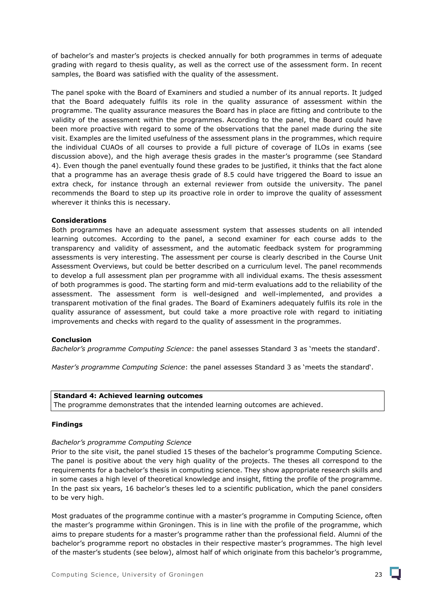of bachelor's and master's projects is checked annually for both programmes in terms of adequate grading with regard to thesis quality, as well as the correct use of the assessment form. In recent samples, the Board was satisfied with the quality of the assessment.

The panel spoke with the Board of Examiners and studied a number of its annual reports. It judged that the Board adequately fulfils its role in the quality assurance of assessment within the programme. The quality assurance measures the Board has in place are fitting and contribute to the validity of the assessment within the programmes. According to the panel, the Board could have been more proactive with regard to some of the observations that the panel made during the site visit. Examples are the limited usefulness of the assessment plans in the programmes, which require the individual CUAOs of all courses to provide a full picture of coverage of ILOs in exams (see discussion above), and the high average thesis grades in the master's programme (see Standard 4). Even though the panel eventually found these grades to be justified, it thinks that the fact alone that a programme has an average thesis grade of 8.5 could have triggered the Board to issue an extra check, for instance through an external reviewer from outside the university. The panel recommends the Board to step up its proactive role in order to improve the quality of assessment wherever it thinks this is necessary.

#### **Considerations**

Both programmes have an adequate assessment system that assesses students on all intended learning outcomes. According to the panel, a second examiner for each course adds to the transparency and validity of assessment, and the automatic feedback system for programming assessments is very interesting. The assessment per course is clearly described in the Course Unit Assessment Overviews, but could be better described on a curriculum level. The panel recommends to develop a full assessment plan per programme with all individual exams. The thesis assessment of both programmes is good. The starting form and mid-term evaluations add to the reliability of the assessment. The assessment form is well-designed and well-implemented, and provides a transparent motivation of the final grades. The Board of Examiners adequately fulfils its role in the quality assurance of assessment, but could take a more proactive role with regard to initiating improvements and checks with regard to the quality of assessment in the programmes.

#### **Conclusion**

*Bachelor's programme Computing Science*: the panel assesses Standard 3 as 'meets the standard'.

*Master's programme Computing Science*: the panel assesses Standard 3 as 'meets the standard'.

#### **Standard 4: Achieved learning outcomes**

The programme demonstrates that the intended learning outcomes are achieved.

### **Findings**

#### *Bachelor's programme Computing Science*

Prior to the site visit, the panel studied 15 theses of the bachelor's programme Computing Science. The panel is positive about the very high quality of the projects. The theses all correspond to the requirements for a bachelor's thesis in computing science. They show appropriate research skills and in some cases a high level of theoretical knowledge and insight, fitting the profile of the programme. In the past six years, 16 bachelor's theses led to a scientific publication, which the panel considers to be very high.

Most graduates of the programme continue with a master's programme in Computing Science, often the master's programme within Groningen. This is in line with the profile of the programme, which aims to prepare students for a master's programme rather than the professional field. Alumni of the bachelor's programme report no obstacles in their respective master's programmes. The high level of the master's students (see below), almost half of which originate from this bachelor's programme,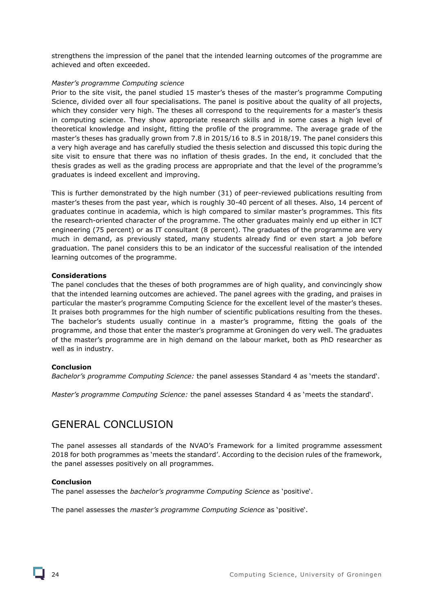strengthens the impression of the panel that the intended learning outcomes of the programme are achieved and often exceeded.

#### *Master's programme Computing science*

Prior to the site visit, the panel studied 15 master's theses of the master's programme Computing Science, divided over all four specialisations. The panel is positive about the quality of all projects, which they consider very high. The theses all correspond to the requirements for a master's thesis in computing science. They show appropriate research skills and in some cases a high level of theoretical knowledge and insight, fitting the profile of the programme. The average grade of the master's theses has gradually grown from 7.8 in 2015/16 to 8.5 in 2018/19. The panel considers this a very high average and has carefully studied the thesis selection and discussed this topic during the site visit to ensure that there was no inflation of thesis grades. In the end, it concluded that the thesis grades as well as the grading process are appropriate and that the level of the programme's graduates is indeed excellent and improving.

This is further demonstrated by the high number (31) of peer-reviewed publications resulting from master's theses from the past year, which is roughly 30-40 percent of all theses. Also, 14 percent of graduates continue in academia, which is high compared to similar master's programmes. This fits the research-oriented character of the programme. The other graduates mainly end up either in ICT engineering (75 percent) or as IT consultant (8 percent). The graduates of the programme are very much in demand, as previously stated, many students already find or even start a job before graduation. The panel considers this to be an indicator of the successful realisation of the intended learning outcomes of the programme.

### **Considerations**

The panel concludes that the theses of both programmes are of high quality, and convincingly show that the intended learning outcomes are achieved. The panel agrees with the grading, and praises in particular the master's programme Computing Science for the excellent level of the master's theses. It praises both programmes for the high number of scientific publications resulting from the theses. The bachelor's students usually continue in a master's programme, fitting the goals of the programme, and those that enter the master's programme at Groningen do very well. The graduates of the master's programme are in high demand on the labour market, both as PhD researcher as well as in industry.

### **Conclusion**

*Bachelor's programme Computing Science:* the panel assesses Standard 4 as 'meets the standard'.

*Master's programme Computing Science:* the panel assesses Standard 4 as 'meets the standard'.

### GENERAL CONCLUSION

The panel assesses all standards of the NVAO's Framework for a limited programme assessment 2018 for both programmes as 'meets the standard'. According to the decision rules of the framework, the panel assesses positively on all programmes.

### **Conclusion**

The panel assesses the *bachelor's programme Computing Science* as 'positive'.

The panel assesses the *master's programme Computing Science* as 'positive'.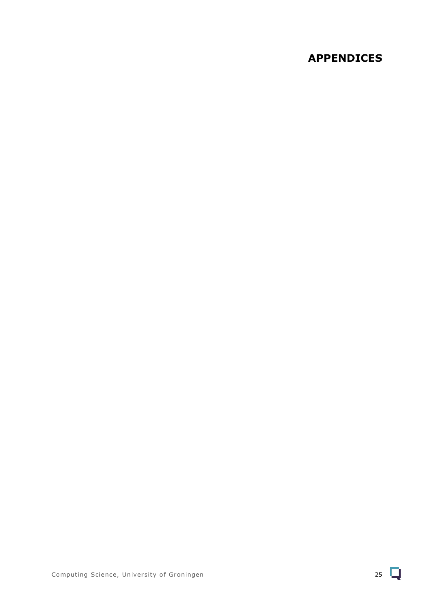# <span id="page-24-0"></span>**APPENDICES**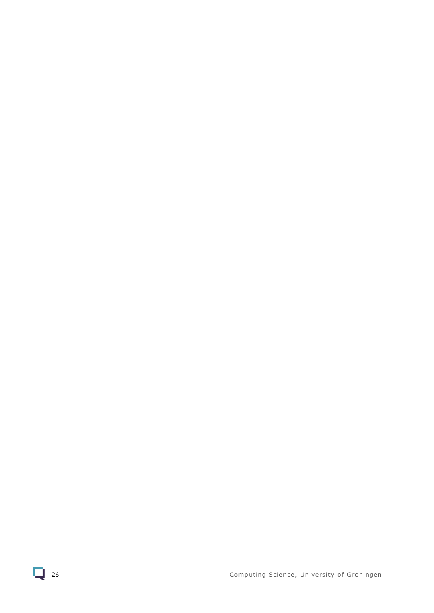<sup>26</sup> Computing Science, University of Groningen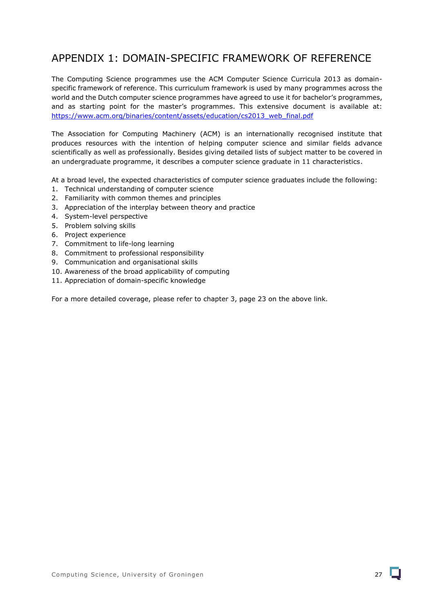# <span id="page-26-0"></span>APPENDIX 1: DOMAIN-SPECIFIC FRAMEWORK OF REFERENCE

The Computing Science programmes use the ACM Computer Science Curricula 2013 as domainspecific framework of reference. This curriculum framework is used by many programmes across the world and the Dutch computer science programmes have agreed to use it for bachelor's programmes, and as starting point for the master's programmes. This extensive document is available at: [https://www.acm.org/binaries/content/assets/education/cs2013\\_web\\_final.pdf](https://www.acm.org/binaries/content/assets/education/cs2013_web_final.pdf)

The Association for Computing Machinery (ACM) is an internationally recognised institute that produces resources with the intention of helping computer science and similar fields advance scientifically as well as professionally. Besides giving detailed lists of subject matter to be covered in an undergraduate programme, it describes a computer science graduate in 11 characteristics.

At a broad level, the expected characteristics of computer science graduates include the following:

- 1. Technical understanding of computer science
- 2. Familiarity with common themes and principles
- 3. Appreciation of the interplay between theory and practice
- 4. System-level perspective
- 5. Problem solving skills
- 6. Project experience
- 7. Commitment to life-long learning
- 8. Commitment to professional responsibility
- 9. Communication and organisational skills
- 10. Awareness of the broad applicability of computing
- 11. Appreciation of domain-specific knowledge

For a more detailed coverage, please refer to chapter 3, page 23 on the above link.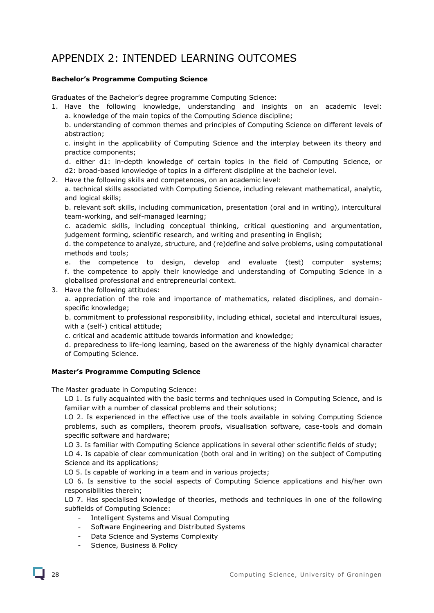# <span id="page-27-0"></span>APPENDIX 2: INTENDED LEARNING OUTCOMES

### **Bachelor's Programme Computing Science**

Graduates of the Bachelor's degree programme Computing Science:

1. Have the following knowledge, understanding and insights on an academic level: a. knowledge of the main topics of the Computing Science discipline;

b. understanding of common themes and principles of Computing Science on different levels of abstraction;

c. insight in the applicability of Computing Science and the interplay between its theory and practice components;

d. either d1: in-depth knowledge of certain topics in the field of Computing Science, or d2: broad-based knowledge of topics in a different discipline at the bachelor level.

2. Have the following skills and competences, on an academic level:

a. technical skills associated with Computing Science, including relevant mathematical, analytic, and logical skills;

b. relevant soft skills, including communication, presentation (oral and in writing), intercultural team-working, and self-managed learning;

c. academic skills, including conceptual thinking, critical questioning and argumentation, judgement forming, scientific research, and writing and presenting in English;

d. the competence to analyze, structure, and (re)define and solve problems, using computational methods and tools;

e. the competence to design, develop and evaluate (test) computer systems; f. the competence to apply their knowledge and understanding of Computing Science in a globalised professional and entrepreneurial context.

3. Have the following attitudes:

a. appreciation of the role and importance of mathematics, related disciplines, and domainspecific knowledge;

b. commitment to professional responsibility, including ethical, societal and intercultural issues, with a (self-) critical attitude;

c. critical and academic attitude towards information and knowledge;

d. preparedness to life-long learning, based on the awareness of the highly dynamical character of Computing Science.

### **Master's Programme Computing Science**

The Master graduate in Computing Science:

LO 1. Is fully acquainted with the basic terms and techniques used in Computing Science, and is familiar with a number of classical problems and their solutions;

LO 2. Is experienced in the effective use of the tools available in solving Computing Science problems, such as compilers, theorem proofs, visualisation software, case-tools and domain specific software and hardware;

LO 3. Is familiar with Computing Science applications in several other scientific fields of study;

LO 4. Is capable of clear communication (both oral and in writing) on the subject of Computing Science and its applications;

LO 5. Is capable of working in a team and in various projects;

LO 6. Is sensitive to the social aspects of Computing Science applications and his/her own responsibilities therein;

LO 7. Has specialised knowledge of theories, methods and techniques in one of the following subfields of Computing Science:

- Intelligent Systems and Visual Computing
- Software Engineering and Distributed Systems
- Data Science and Systems Complexity
- Science, Business & Policy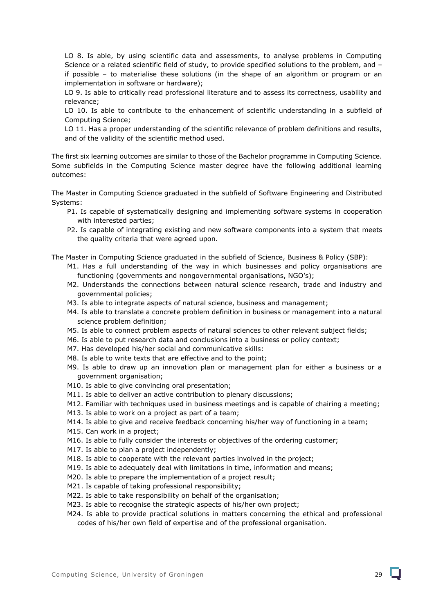LO 8. Is able, by using scientific data and assessments, to analyse problems in Computing Science or a related scientific field of study, to provide specified solutions to the problem, and – if possible – to materialise these solutions (in the shape of an algorithm or program or an implementation in software or hardware);

LO 9. Is able to critically read professional literature and to assess its correctness, usability and relevance;

LO 10. Is able to contribute to the enhancement of scientific understanding in a subfield of Computing Science;

LO 11. Has a proper understanding of the scientific relevance of problem definitions and results, and of the validity of the scientific method used.

The first six learning outcomes are similar to those of the Bachelor programme in Computing Science. Some subfields in the Computing Science master degree have the following additional learning outcomes:

The Master in Computing Science graduated in the subfield of Software Engineering and Distributed Systems:

- P1. Is capable of systematically designing and implementing software systems in cooperation with interested parties;
- P2. Is capable of integrating existing and new software components into a system that meets the quality criteria that were agreed upon.

The Master in Computing Science graduated in the subfield of Science, Business & Policy (SBP):

- M1. Has a full understanding of the way in which businesses and policy organisations are functioning (governments and nongovernmental organisations, NGO's);
- M2. Understands the connections between natural science research, trade and industry and governmental policies;
- M3. Is able to integrate aspects of natural science, business and management;
- M4. Is able to translate a concrete problem definition in business or management into a natural science problem definition;
- M5. Is able to connect problem aspects of natural sciences to other relevant subject fields;
- M6. Is able to put research data and conclusions into a business or policy context;
- M7. Has developed his/her social and communicative skills:
- M8. Is able to write texts that are effective and to the point;
- M9. Is able to draw up an innovation plan or management plan for either a business or a government organisation;
- M10. Is able to give convincing oral presentation;
- M11. Is able to deliver an active contribution to plenary discussions;
- M12. Familiar with techniques used in business meetings and is capable of chairing a meeting;
- M13. Is able to work on a project as part of a team;
- M14. Is able to give and receive feedback concerning his/her way of functioning in a team;
- M15. Can work in a project;
- M16. Is able to fully consider the interests or objectives of the ordering customer;
- M17. Is able to plan a project independently;
- M18. Is able to cooperate with the relevant parties involved in the project;
- M19. Is able to adequately deal with limitations in time, information and means;
- M20. Is able to prepare the implementation of a project result;
- M21. Is capable of taking professional responsibility;
- M22. Is able to take responsibility on behalf of the organisation;
- M23. Is able to recognise the strategic aspects of his/her own project;
- M24. Is able to provide practical solutions in matters concerning the ethical and professional codes of his/her own field of expertise and of the professional organisation.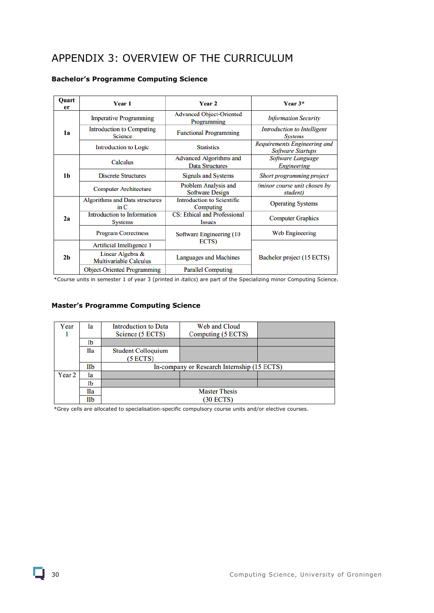# <span id="page-29-0"></span>APPENDIX 3: OVERVIEW OF THE CURRICULUM

| <b>Quart</b><br>er | Year 1                                                     | Year 2                                                   | Year 3*                                                  |
|--------------------|------------------------------------------------------------|----------------------------------------------------------|----------------------------------------------------------|
| 1a                 | <b>Imperative Programming</b>                              | <b>Advanced Object-Oriented</b><br>Programming           | <b>Information Security</b>                              |
|                    | <b>Introduction to Computing</b><br><b>Science</b>         | <b>Functional Programming</b>                            | Introduction to Intelligent<br><b>Systems</b>            |
|                    | Introduction to Logic                                      | <b>Statistics</b>                                        | Requirements Engineering and<br><b>Software Startups</b> |
|                    | <b>Calculus</b>                                            | <b>Advanced Algorithms and</b><br><b>Data Structures</b> | Software Language<br><b>Engineering</b>                  |
| 1b                 | <b>Discrete Structures</b>                                 | <b>Signals and Systems</b>                               | Short programming project                                |
|                    | <b>Computer Architecture</b>                               | <b>Problem Analysis and</b><br><b>Software Design</b>    | (minor course unit chosen by<br>student)                 |
|                    | Algorithms and Data structures<br>$\overline{\text{in }C}$ | <b>Introduction to Scientific</b><br>Computing           | <b>Operating Systems</b>                                 |
| 2a                 | <b>Introduction to Information</b><br><b>Systems</b>       | <b>CS</b> : Ethical and Professional<br><b>Issues</b>    | <b>Computer Graphics</b>                                 |
|                    | <b>Program Correctness</b>                                 | Software Engineering (10)                                | <b>Web Engineering</b>                                   |
| 2 <sub>b</sub>     | Artificial Intelligence 1                                  | ECTS)                                                    |                                                          |
|                    | Linear Algebra &<br><b>Multivariable Calculus</b>          | <b>Languages and Machines</b>                            | Bachelor project (15 ECTS)                               |
|                    | <b>Object-Oriented Programming</b>                         | <b>Parallel Computing</b>                                |                                                          |

### **Bachelor's Programme Computing Science**

\*Course units in semester 1 of year 3 (printed in *italics*) are part of the Specializing minor Computing Science.

### **Master's Programme Computing Science**

| Year              | Iа  | <b>Introduction to Data</b>                 | Web and Cloud      |  |
|-------------------|-----|---------------------------------------------|--------------------|--|
|                   |     | Science (5 ECTS)                            | Computing (5 ECTS) |  |
|                   | Ib  |                                             |                    |  |
|                   | Ha  | <b>Student Colloquium</b>                   |                    |  |
|                   |     | (5 ECTS)                                    |                    |  |
|                   | IIb | In-company or Research Internship (15 ECTS) |                    |  |
| Year <sub>2</sub> | Ia  |                                             |                    |  |
|                   | Ib  |                                             |                    |  |
|                   | Пa  | <b>Master Thesis</b>                        |                    |  |
|                   | IIb | $(30$ ECTS)                                 |                    |  |

\*Grey cells are allocated to specialisation-specific compulsory course units and/or elective courses.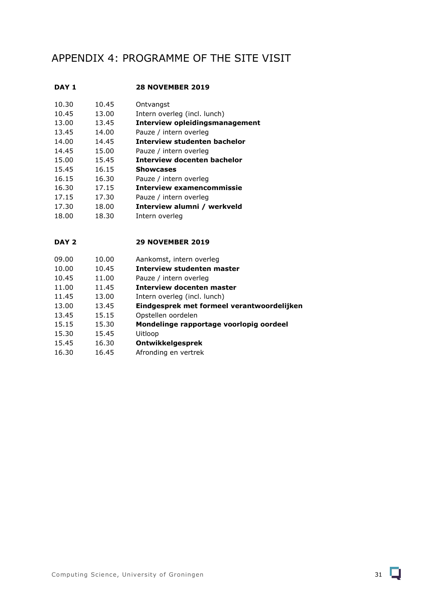# <span id="page-30-0"></span>APPENDIX 4: PROGRAMME OF THE SITE VISIT

| DAY <sub>1</sub> |       | <b>28 NOVEMBER 2019</b>        |
|------------------|-------|--------------------------------|
| 10.30            | 10.45 | Ontvangst                      |
| 10.45            | 13.00 | Intern overleg (incl. lunch)   |
| 13.00            | 13.45 | Interview opleidingsmanagement |
| 13.45            | 14.00 | Pauze / intern overleg         |
| 14.00            | 14.45 | Interview studenten bachelor   |
| 14.45            | 15.00 | Pauze / intern overleg         |
| 15.00            | 15.45 | Interview docenten bachelor    |
| 15.45            | 16.15 | <b>Showcases</b>               |
| 16.15            | 16.30 | Pauze / intern overleg         |
| 16.30            | 17.15 | Interview examencommissie      |
| 17.15            | 17.30 | Pauze / intern overleg         |
| 17.30            | 18.00 | Interview alumni / werkveld    |
| 18.00            | 18.30 | Intern overleg                 |

#### **DAY 2 29 NOVEMBER 2019**

| 09.00 | 10.00 | Aankomst, intern overleg                   |
|-------|-------|--------------------------------------------|
| 10.00 | 10.45 | <b>Interview studenten master</b>          |
| 10.45 | 11.00 | Pauze / intern overleg                     |
| 11.00 | 11.45 | Interview docenten master                  |
| 11.45 | 13.00 | Intern overleg (incl. lunch)               |
| 13.00 | 13.45 | Eindgesprek met formeel verantwoordelijken |
| 13.45 | 15.15 | Opstellen oordelen                         |
| 15.15 | 15.30 | Mondelinge rapportage voorlopig oordeel    |
| 15.30 | 15.45 | Uitloop                                    |
| 15.45 | 16.30 | <b>Ontwikkelgesprek</b>                    |
| 16.30 | 16.45 | Afronding en vertrek                       |